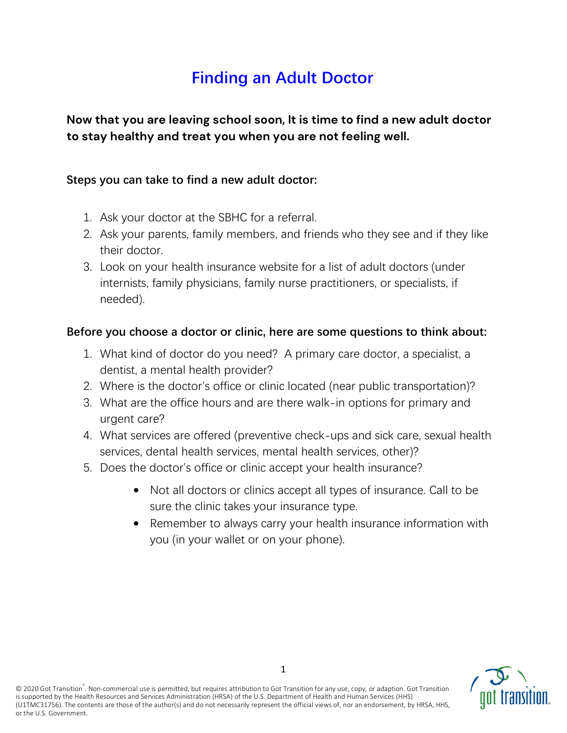# **Finding an Adult Doctor**

**Now that you are leaving school soon, It is time to find a new adult doctor to stay healthy and treat you when you are not feeling well.** 

### **Steps you can take to find a new adult doctor:**

- 1. Ask your doctor at the SBHC for a referral.
- 2. Ask your parents, family members, and friends who they see and if they like their doctor.
- 3. Look on your health insurance website for a list of adult doctors (under internists, family physicians, family nurse practitioners, or specialists, if needed).

## **Before you choose a doctor or clinic, here are some questions to think about:**

- 1. What kind of doctor do you need? A primary care doctor, a specialist, a dentist, a mental health provider?
- 2. Where is the doctor's office or clinic located (near public transportation)?
- 3. What are the office hours and are there walk-in options for primary and urgent care?
- 4. What services are offered (preventive check-ups and sick care, sexual health services, dental health services, mental health services, other)?
- 5. Does the doctor's office or clinic accept your health insurance?
	- Not all doctors or clinics accept all types of insurance. Call to be sure the clinic takes your insurance type.
	- Remember to always carry your health insurance information with you (in your wallet or on your phone).

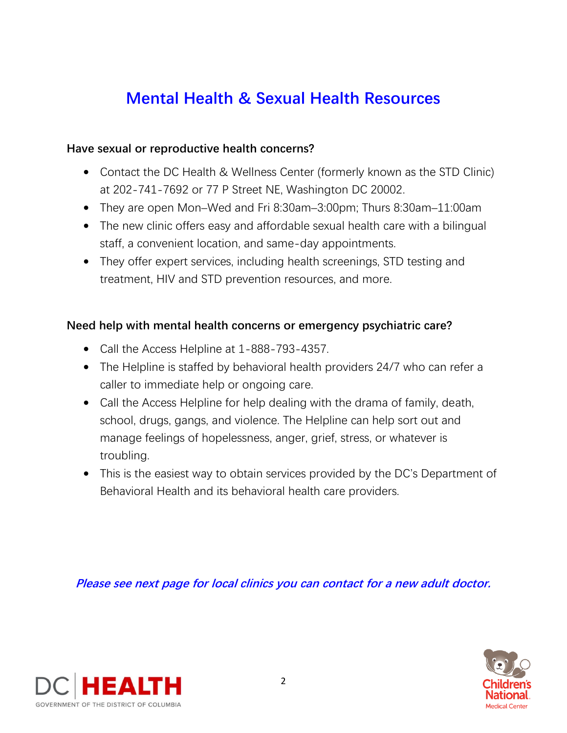# **Mental Health & Sexual Health Resources**

#### **Have sexual or reproductive health concerns?**

- Contact the DC Health & Wellness Center (formerly known as the STD Clinic) at 202-741-7692 or 77 P Street NE, Washington DC 20002.
- They are open Mon–Wed and Fri 8:30am–3:00pm; Thurs 8:30am–11:00am
- The new clinic offers easy and affordable sexual health care with a bilingual staff, a convenient location, and same-day appointments.
- They offer expert services, including health screenings, STD testing and treatment, HIV and STD prevention resources, and more.

### **Need help with mental health concerns or emergency psychiatric care?**

- Call the Access Helpline at 1-888-793-4357.
- The Helpline is staffed by behavioral health providers 24/7 who can refer a caller to immediate help or ongoing care.
- Call the Access Helpline for help dealing with the drama of family, death, school, drugs, gangs, and violence. The Helpline can help sort out and manage feelings of hopelessness, anger, grief, stress, or whatever is troubling.
- This is the easiest way to obtain services provided by the DC's Department of Behavioral Health and its behavioral health care providers.

**Please see next page for local clinics you can contact for a new adult doctor.**



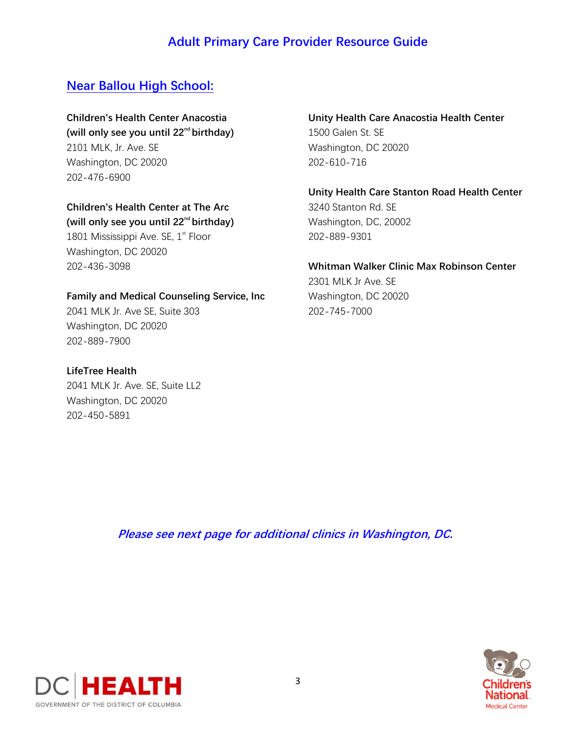## **Adult Primary Care Provider Resource Guide**

## **Near Ballou High School:**

# **Children's Health Center Anacostia**

**(will only see you until 22nd birthday)** 2101 MLK, Jr. Ave. SE Washington, DC 20020 202-476-6900

#### **Children's Health Center at The Arc (will only see you until 22nd birthday)**

1801 Mississippi Ave. SE,  $1<sup>st</sup>$  Floor Washington, DC 20020 202-436-3098

#### **Family and Medical Counseling Service, Inc**

2041 MLK Jr. Ave SE, Suite 303 Washington, DC 20020 202-889-7900

#### **LifeTree Health** 2041 MLK Jr. Ave. SE, Suite LL2 Washington, DC 20020 202-450-5891

#### **Unity Health Care Anacostia Health Center** 1500 Galen St. SE Washington, DC 20020 202-610-716

**Unity Health Care Stanton Road Health Center** 3240 Stanton Rd. SE Washington, DC, 20002 202-889-9301

**Whitman Walker Clinic Max Robinson Center** 2301 MLK Jr Ave. SE Washington, DC 20020 202-745-7000

**Please see next page for additional clinics in Washington, DC.**

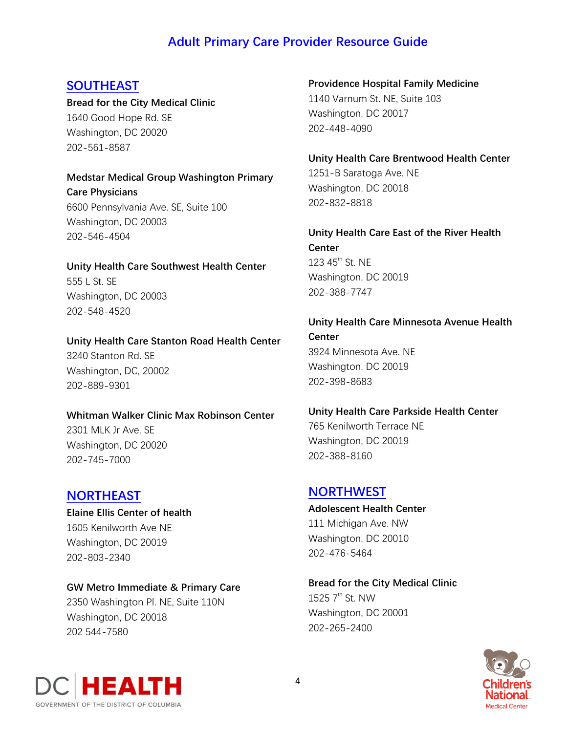## **Adult Primary Care Provider Resource Guide**

### **SOUTHEAST**

**Bread for the City Medical Clinic** 1640 Good Hope Rd. SE Washington, DC 20020 202-561-8587

**Medstar Medical Group Washington Primary Care Physicians** 6600 Pennsylvania Ave. SE, Suite 100 Washington, DC 20003 202-546-4504

**Unity Health Care Southwest Health Center** 555 L St. SE Washington, DC 20003 202-548-4520

**Unity Health Care Stanton Road Health Center** 3240 Stanton Rd. SE Washington, DC, 20002 202-889-9301

#### **Whitman Walker Clinic Max Robinson Center**

2301 MLK Jr Ave. SE Washington, DC 20020 202-745-7000

#### **NORTHEAST**

**Elaine Ellis Center of health** 1605 Kenilworth Ave NE Washington, DC 20019 202-803-2340

#### **GW Metro Immediate & Primary Care**

2350 Washington Pl. NE, Suite 110N Washington, DC 20018 202 544-7580

**Providence Hospital Family Medicine** 1140 Varnum St. NE, Suite 103 Washington, DC 20017 202-448-4090

**Unity Health Care Brentwood Health Center**

1251-B Saratoga Ave. NE Washington, DC 20018 202-832-8818

**Unity Health Care East of the River Health Center** 123 45<sup>th</sup> St. NE Washington, DC 20019 202-388-7747

**Unity Health Care Minnesota Avenue Health Center** 3924 Minnesota Ave. NE Washington, DC 20019 202-398-8683

## **Unity Health Care Parkside Health Center** 765 Kenilworth Terrace NE

Washington, DC 20019 202-388-8160

#### **NORTHWEST**

**Adolescent Health Center** 111 Michigan Ave. NW Washington, DC 20010 202-476-5464

**Bread for the City Medical Clinic** 1525  $7<sup>th</sup>$  St. NW Washington, DC 20001 202-265-2400